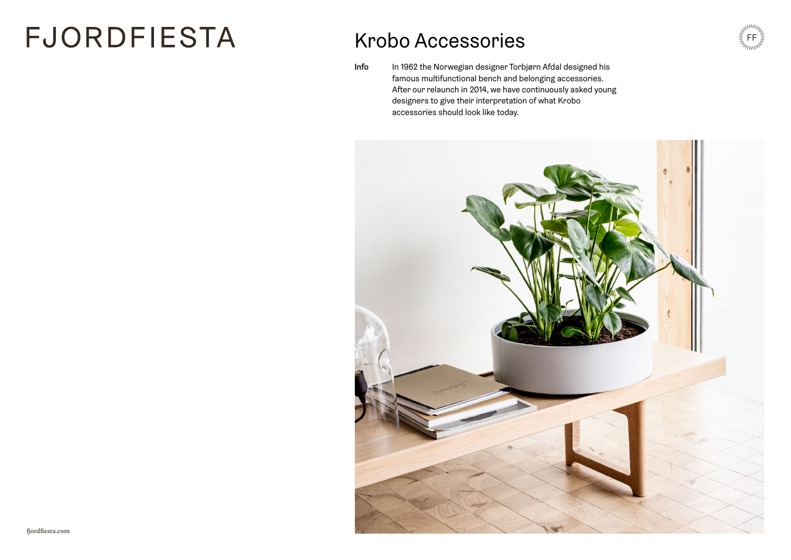# **FJORDFIESTA**

### Krobo Accessories

Info In 1962 the Norwegian designer Torbjørn Afdal designed his famous multifunctional bench and belonging accessories. After our relaunch in 2014, we have continuously asked young designers to give their interpretation of what Krobo accessories should look like today.